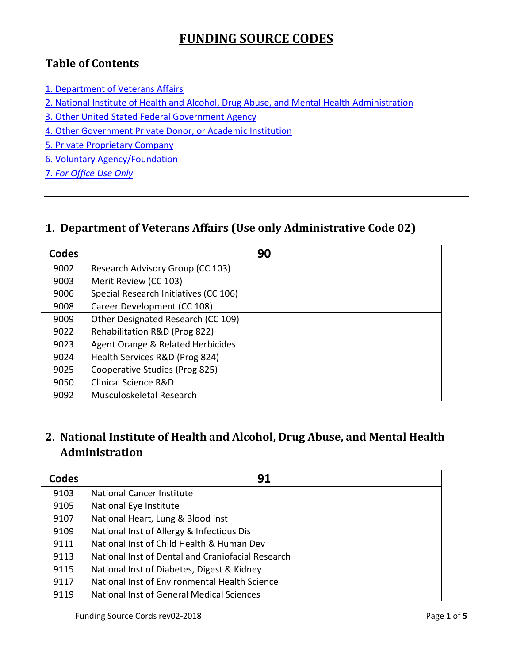## **FUNDING SOURCE CODES**

#### **Table of Contents**

- [1. Department of Veterans Affairs](#page-0-0)
- [2. National Institute of Health and Alcohol, Drug Abuse, and Mental Health Administration](#page-0-1)
- [3. Other United Stated Federal Government Agency](#page-1-0)
- [4. Other Government Private Donor, or Academic Institution](#page-1-1)
- 5. [Private Proprietary Company](#page-2-0)
- 6. [Voluntary Agency/Foundation](#page-3-0)
- 7. *[For Office Use Only](#page-4-0)*

#### <span id="page-0-0"></span>**1. Department of Veterans Affairs (Use only Administrative Code 02)**

| <b>Codes</b> | 90                                    |
|--------------|---------------------------------------|
| 9002         | Research Advisory Group (CC 103)      |
| 9003         | Merit Review (CC 103)                 |
| 9006         | Special Research Initiatives (CC 106) |
| 9008         | Career Development (CC 108)           |
| 9009         | Other Designated Research (CC 109)    |
| 9022         | Rehabilitation R&D (Prog 822)         |
| 9023         | Agent Orange & Related Herbicides     |
| 9024         | Health Services R&D (Prog 824)        |
| 9025         | Cooperative Studies (Prog 825)        |
| 9050         | Clinical Science R&D                  |
| 9092         | Musculoskeletal Research              |

### <span id="page-0-1"></span>**2. National Institute of Health and Alcohol, Drug Abuse, and Mental Health Administration**

| <b>Codes</b> | 91                                                |
|--------------|---------------------------------------------------|
| 9103         | National Cancer Institute                         |
| 9105         | National Eye Institute                            |
| 9107         | National Heart, Lung & Blood Inst                 |
| 9109         | National Inst of Allergy & Infectious Dis         |
| 9111         | National Inst of Child Health & Human Dev         |
| 9113         | National Inst of Dental and Craniofacial Research |
| 9115         | National Inst of Diabetes, Digest & Kidney        |
| 9117         | National Inst of Environmental Health Science     |
| 9119         | <b>National Inst of General Medical Sciences</b>  |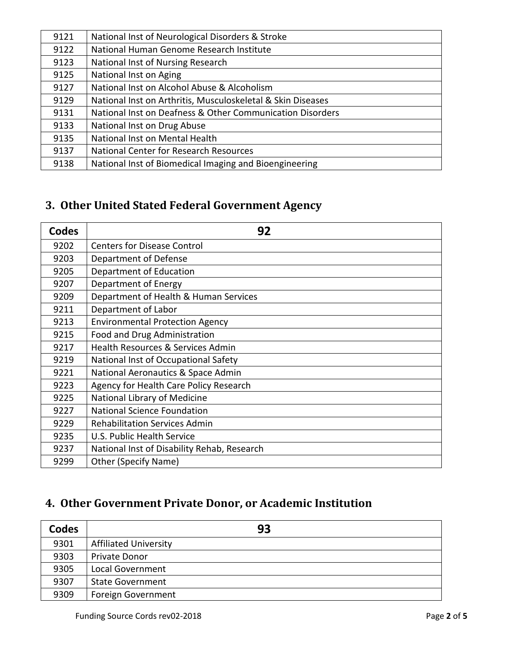| 9121 | National Inst of Neurological Disorders & Stroke            |
|------|-------------------------------------------------------------|
| 9122 | National Human Genome Research Institute                    |
| 9123 | National Inst of Nursing Research                           |
| 9125 | National Inst on Aging                                      |
| 9127 | National Inst on Alcohol Abuse & Alcoholism                 |
| 9129 | National Inst on Arthritis, Musculoskeletal & Skin Diseases |
| 9131 | National Inst on Deafness & Other Communication Disorders   |
| 9133 | National Inst on Drug Abuse                                 |
| 9135 | National Inst on Mental Health                              |
| 9137 | National Center for Research Resources                      |
| 9138 | National Inst of Biomedical Imaging and Bioengineering      |

# <span id="page-1-0"></span>**3. Other United Stated Federal Government Agency**

| <b>Codes</b> | 92                                          |
|--------------|---------------------------------------------|
| 9202         | <b>Centers for Disease Control</b>          |
| 9203         | Department of Defense                       |
| 9205         | Department of Education                     |
| 9207         | Department of Energy                        |
| 9209         | Department of Health & Human Services       |
| 9211         | Department of Labor                         |
| 9213         | <b>Environmental Protection Agency</b>      |
| 9215         | Food and Drug Administration                |
| 9217         | Health Resources & Services Admin           |
| 9219         | National Inst of Occupational Safety        |
| 9221         | National Aeronautics & Space Admin          |
| 9223         | Agency for Health Care Policy Research      |
| 9225         | National Library of Medicine                |
| 9227         | <b>National Science Foundation</b>          |
| 9229         | <b>Rehabilitation Services Admin</b>        |
| 9235         | U.S. Public Health Service                  |
| 9237         | National Inst of Disability Rehab, Research |
| 9299         | <b>Other (Specify Name)</b>                 |

## <span id="page-1-1"></span>**4. Other Government Private Donor, or Academic Institution**

| <b>Codes</b> | 93                           |
|--------------|------------------------------|
| 9301         | <b>Affiliated University</b> |
| 9303         | Private Donor                |
| 9305         | <b>Local Government</b>      |
| 9307         | <b>State Government</b>      |
| 9309         | Foreign Government           |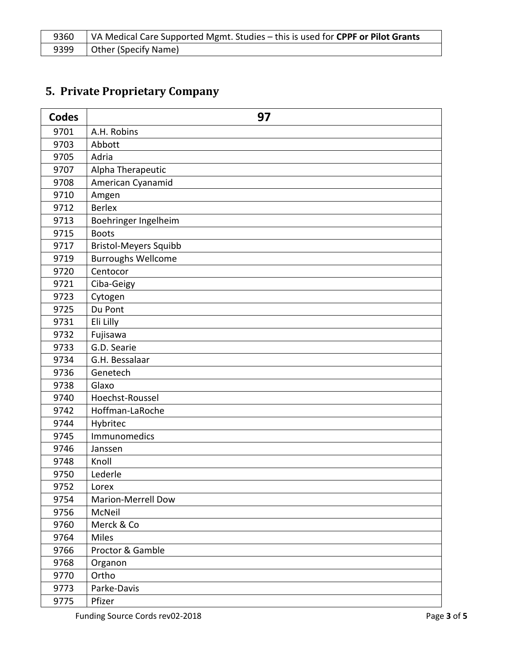| 9360 | VA Medical Care Supported Mgmt. Studies – this is used for CPPF or Pilot Grants |
|------|---------------------------------------------------------------------------------|
| 9399 | Other (Specify Name)                                                            |

# <span id="page-2-0"></span>**5. Private Proprietary Company**

| <b>Codes</b> | 97                           |
|--------------|------------------------------|
| 9701         | A.H. Robins                  |
| 9703         | Abbott                       |
| 9705         | Adria                        |
| 9707         | Alpha Therapeutic            |
| 9708         | American Cyanamid            |
| 9710         | Amgen                        |
| 9712         | <b>Berlex</b>                |
| 9713         | Boehringer Ingelheim         |
| 9715         | <b>Boots</b>                 |
| 9717         | <b>Bristol-Meyers Squibb</b> |
| 9719         | <b>Burroughs Wellcome</b>    |
| 9720         | Centocor                     |
| 9721         | Ciba-Geigy                   |
| 9723         | Cytogen                      |
| 9725         | Du Pont                      |
| 9731         | Eli Lilly                    |
| 9732         | Fujisawa                     |
| 9733         | G.D. Searie                  |
| 9734         | G.H. Bessalaar               |
| 9736         | Genetech                     |
| 9738         | Glaxo                        |
| 9740         | Hoechst-Roussel              |
| 9742         | Hoffman-LaRoche              |
| 9744         | Hybritec                     |
| 9745         | Immunomedics                 |
| 9746         | Janssen                      |
| 9748         | Knoll                        |
| 9750         | Lederle                      |
| 9752         | Lorex                        |
| 9754         | <b>Marion-Merrell Dow</b>    |
| 9756         | McNeil                       |
| 9760         | Merck & Co                   |
| 9764         | <b>Miles</b>                 |
| 9766         | Proctor & Gamble             |
| 9768         | Organon                      |
| 9770         | Ortho                        |
| 9773         | Parke-Davis                  |
| 9775         | Pfizer                       |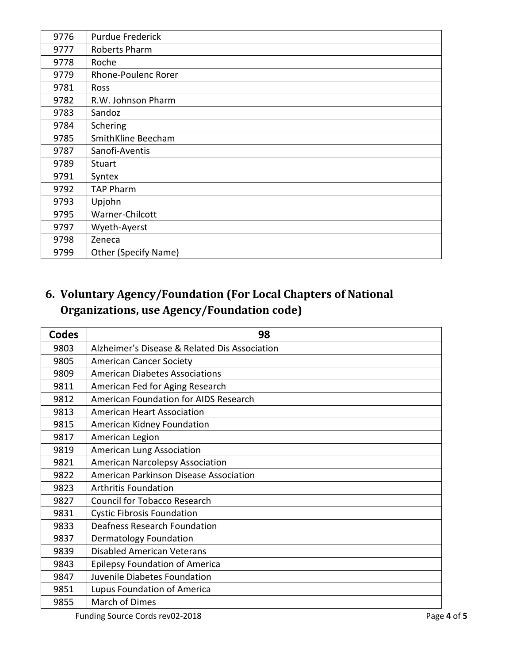| 9776 | Purdue Frederick            |
|------|-----------------------------|
| 9777 | Roberts Pharm               |
| 9778 | Roche                       |
| 9779 | Rhone-Poulenc Rorer         |
| 9781 | Ross                        |
| 9782 | R.W. Johnson Pharm          |
| 9783 | Sandoz                      |
| 9784 | Schering                    |
| 9785 | SmithKline Beecham          |
| 9787 | Sanofi-Aventis              |
| 9789 | Stuart                      |
| 9791 | Syntex                      |
| 9792 | <b>TAP Pharm</b>            |
| 9793 | Upjohn                      |
| 9795 | Warner-Chilcott             |
| 9797 | Wyeth-Ayerst                |
| 9798 | Zeneca                      |
| 9799 | <b>Other (Specify Name)</b> |

# <span id="page-3-0"></span>**6. Voluntary Agency/Foundation (For Local Chapters of National Organizations, use Agency/Foundation code)**

| <b>Codes</b> | 98                                            |
|--------------|-----------------------------------------------|
| 9803         | Alzheimer's Disease & Related Dis Association |
| 9805         | <b>American Cancer Society</b>                |
| 9809         | <b>American Diabetes Associations</b>         |
| 9811         | American Fed for Aging Research               |
| 9812         | American Foundation for AIDS Research         |
| 9813         | <b>American Heart Association</b>             |
| 9815         | American Kidney Foundation                    |
| 9817         | American Legion                               |
| 9819         | American Lung Association                     |
| 9821         | <b>American Narcolepsy Association</b>        |
| 9822         | American Parkinson Disease Association        |
| 9823         | <b>Arthritis Foundation</b>                   |
| 9827         | <b>Council for Tobacco Research</b>           |
| 9831         | <b>Cystic Fibrosis Foundation</b>             |
| 9833         | Deafness Research Foundation                  |
| 9837         | <b>Dermatology Foundation</b>                 |
| 9839         | <b>Disabled American Veterans</b>             |
| 9843         | <b>Epilepsy Foundation of America</b>         |
| 9847         | Juvenile Diabetes Foundation                  |
| 9851         | Lupus Foundation of America                   |
| 9855         | March of Dimes                                |